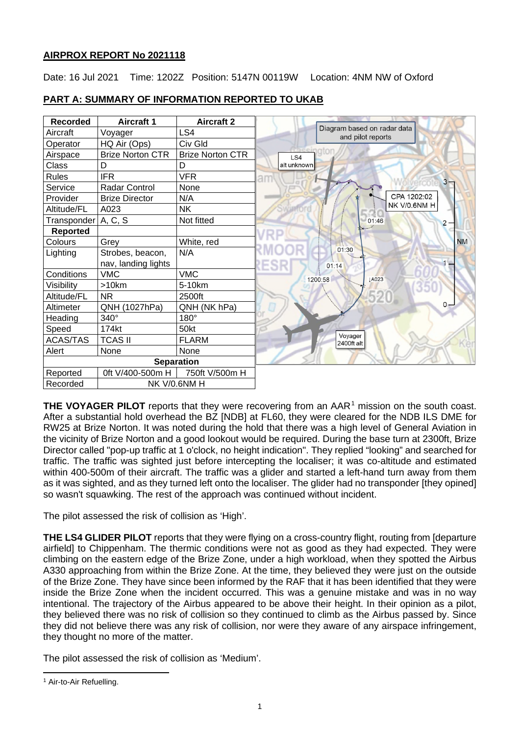# **AIRPROX REPORT No 2021118**

Date: 16 Jul 2021 Time: 1202Z Position: 5147N 00119W Location: 4NM NW of Oxford



# **PART A: SUMMARY OF INFORMATION REPORTED TO UKAB**

**THE VOYAGER PILOT** reports that they were recovering from an AAR<sup>[1](#page-0-0)</sup> mission on the south coast. After a substantial hold overhead the BZ [NDB] at FL60, they were cleared for the NDB ILS DME for RW25 at Brize Norton. It was noted during the hold that there was a high level of General Aviation in the vicinity of Brize Norton and a good lookout would be required. During the base turn at 2300ft, Brize Director called "pop-up traffic at 1 o'clock, no height indication". They replied "looking" and searched for traffic. The traffic was sighted just before intercepting the localiser; it was co-altitude and estimated within 400-500m of their aircraft. The traffic was a glider and started a left-hand turn away from them as it was sighted, and as they turned left onto the localiser. The glider had no transponder [they opined] so wasn't squawking. The rest of the approach was continued without incident.

The pilot assessed the risk of collision as 'High'.

**THE LS4 GLIDER PILOT** reports that they were flying on a cross-country flight, routing from [departure airfield] to Chippenham. The thermic conditions were not as good as they had expected. They were climbing on the eastern edge of the Brize Zone, under a high workload, when they spotted the Airbus A330 approaching from within the Brize Zone. At the time, they believed they were just on the outside of the Brize Zone. They have since been informed by the RAF that it has been identified that they were inside the Brize Zone when the incident occurred. This was a genuine mistake and was in no way intentional. The trajectory of the Airbus appeared to be above their height. In their opinion as a pilot, they believed there was no risk of collision so they continued to climb as the Airbus passed by. Since they did not believe there was any risk of collision, nor were they aware of any airspace infringement, they thought no more of the matter.

The pilot assessed the risk of collision as 'Medium'.

<span id="page-0-0"></span><sup>&</sup>lt;sup>1</sup> Air-to-Air Refuelling.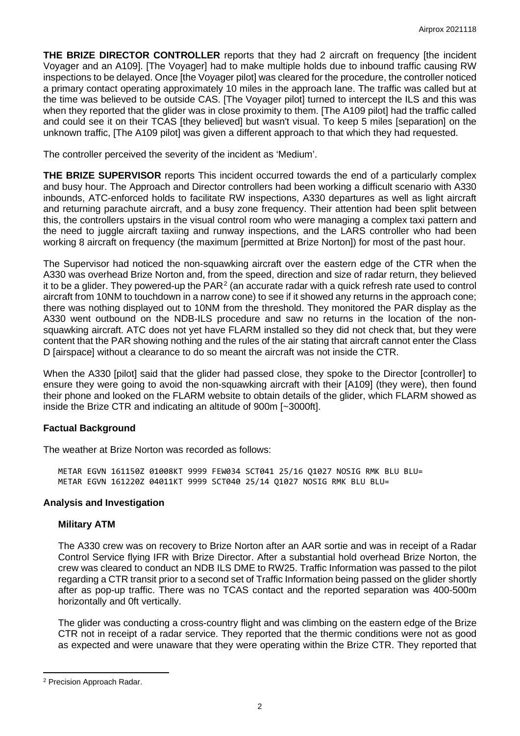**THE BRIZE DIRECTOR CONTROLLER** reports that they had 2 aircraft on frequency [the incident Voyager and an A109]. [The Voyager] had to make multiple holds due to inbound traffic causing RW inspections to be delayed. Once [the Voyager pilot] was cleared for the procedure, the controller noticed a primary contact operating approximately 10 miles in the approach lane. The traffic was called but at the time was believed to be outside CAS. [The Voyager pilot] turned to intercept the ILS and this was when they reported that the glider was in close proximity to them. [The A109 pilot] had the traffic called and could see it on their TCAS [they believed] but wasn't visual. To keep 5 miles [separation] on the unknown traffic, [The A109 pilot] was given a different approach to that which they had requested.

The controller perceived the severity of the incident as 'Medium'.

**THE BRIZE SUPERVISOR** reports This incident occurred towards the end of a particularly complex and busy hour. The Approach and Director controllers had been working a difficult scenario with A330 inbounds, ATC-enforced holds to facilitate RW inspections, A330 departures as well as light aircraft and returning parachute aircraft, and a busy zone frequency. Their attention had been split between this, the controllers upstairs in the visual control room who were managing a complex taxi pattern and the need to juggle aircraft taxiing and runway inspections, and the LARS controller who had been working 8 aircraft on frequency (the maximum [permitted at Brize Norton]) for most of the past hour.

The Supervisor had noticed the non-squawking aircraft over the eastern edge of the CTR when the A330 was overhead Brize Norton and, from the speed, direction and size of radar return, they believed it to be a glider. They powered-up the  $PAR<sup>2</sup>$  $PAR<sup>2</sup>$  $PAR<sup>2</sup>$  (an accurate radar with a quick refresh rate used to control aircraft from 10NM to touchdown in a narrow cone) to see if it showed any returns in the approach cone; there was nothing displayed out to 10NM from the threshold. They monitored the PAR display as the A330 went outbound on the NDB-ILS procedure and saw no returns in the location of the nonsquawking aircraft. ATC does not yet have FLARM installed so they did not check that, but they were content that the PAR showing nothing and the rules of the air stating that aircraft cannot enter the Class D [airspace] without a clearance to do so meant the aircraft was not inside the CTR.

When the A330 [pilot] said that the glider had passed close, they spoke to the Director [controller] to ensure they were going to avoid the non-squawking aircraft with their [A109] (they were), then found their phone and looked on the FLARM website to obtain details of the glider, which FLARM showed as inside the Brize CTR and indicating an altitude of 900m [~3000ft].

# **Factual Background**

The weather at Brize Norton was recorded as follows:

METAR EGVN 161150Z 01008KT 9999 FEW034 SCT041 25/16 Q1027 NOSIG RMK BLU BLU= METAR EGVN 161220Z 04011KT 9999 SCT040 25/14 Q1027 NOSIG RMK BLU BLU=

## **Analysis and Investigation**

## **Military ATM**

The A330 crew was on recovery to Brize Norton after an AAR sortie and was in receipt of a Radar Control Service flying IFR with Brize Director. After a substantial hold overhead Brize Norton, the crew was cleared to conduct an NDB ILS DME to RW25. Traffic Information was passed to the pilot regarding a CTR transit prior to a second set of Traffic Information being passed on the glider shortly after as pop-up traffic. There was no TCAS contact and the reported separation was 400-500m horizontally and 0ft vertically.

The glider was conducting a cross-country flight and was climbing on the eastern edge of the Brize CTR not in receipt of a radar service. They reported that the thermic conditions were not as good as expected and were unaware that they were operating within the Brize CTR. They reported that

<span id="page-1-0"></span><sup>2</sup> Precision Approach Radar.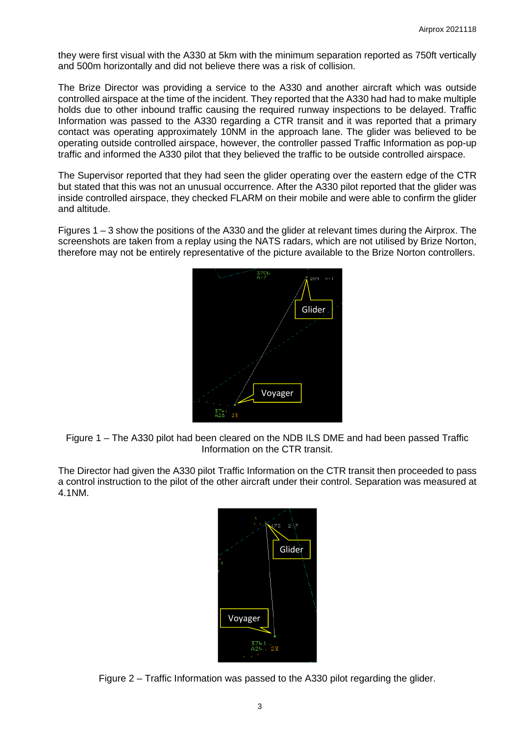they were first visual with the A330 at 5km with the minimum separation reported as 750ft vertically and 500m horizontally and did not believe there was a risk of collision.

The Brize Director was providing a service to the A330 and another aircraft which was outside controlled airspace at the time of the incident. They reported that the A330 had had to make multiple holds due to other inbound traffic causing the required runway inspections to be delayed. Traffic Information was passed to the A330 regarding a CTR transit and it was reported that a primary contact was operating approximately 10NM in the approach lane. The glider was believed to be operating outside controlled airspace, however, the controller passed Traffic Information as pop-up traffic and informed the A330 pilot that they believed the traffic to be outside controlled airspace.

The Supervisor reported that they had seen the glider operating over the eastern edge of the CTR but stated that this was not an unusual occurrence. After the A330 pilot reported that the glider was inside controlled airspace, they checked FLARM on their mobile and were able to confirm the glider and altitude.

Figures 1 – 3 show the positions of the A330 and the glider at relevant times during the Airprox. The screenshots are taken from a replay using the NATS radars, which are not utilised by Brize Norton, therefore may not be entirely representative of the picture available to the Brize Norton controllers.



Figure 1 – The A330 pilot had been cleared on the NDB ILS DME and had been passed Traffic Information on the CTR transit.

The Director had given the A330 pilot Traffic Information on the CTR transit then proceeded to pass a control instruction to the pilot of the other aircraft under their control. Separation was measured at 4.1NM.



Figure 2 – Traffic Information was passed to the A330 pilot regarding the glider.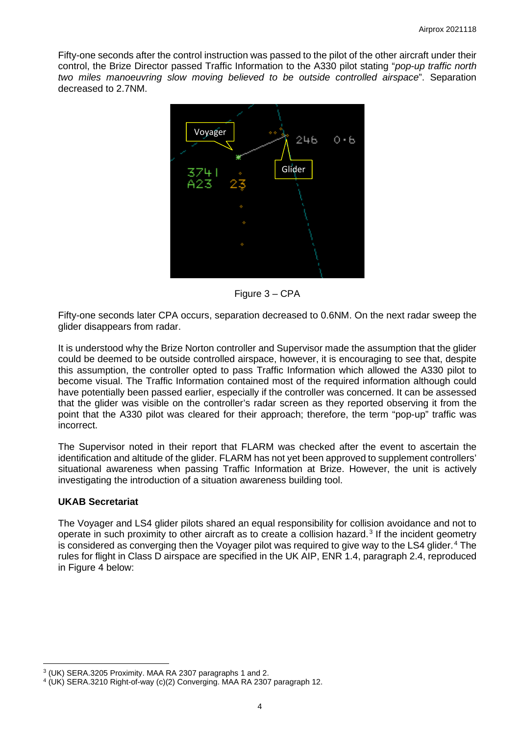Fifty-one seconds after the control instruction was passed to the pilot of the other aircraft under their control, the Brize Director passed Traffic Information to the A330 pilot stating "*pop-up traffic north two miles manoeuvring slow moving believed to be outside controlled airspace*". Separation decreased to 2.7NM.



Figure 3 – CPA

Fifty-one seconds later CPA occurs, separation decreased to 0.6NM. On the next radar sweep the glider disappears from radar.

It is understood why the Brize Norton controller and Supervisor made the assumption that the glider could be deemed to be outside controlled airspace, however, it is encouraging to see that, despite this assumption, the controller opted to pass Traffic Information which allowed the A330 pilot to become visual. The Traffic Information contained most of the required information although could have potentially been passed earlier, especially if the controller was concerned. It can be assessed that the glider was visible on the controller's radar screen as they reported observing it from the point that the A330 pilot was cleared for their approach; therefore, the term "pop-up" traffic was incorrect.

The Supervisor noted in their report that FLARM was checked after the event to ascertain the identification and altitude of the glider. FLARM has not yet been approved to supplement controllers' situational awareness when passing Traffic Information at Brize. However, the unit is actively investigating the introduction of a situation awareness building tool.

#### **UKAB Secretariat**

The Voyager and LS4 glider pilots shared an equal responsibility for collision avoidance and not to operate in such proximity to other aircraft as to create a collision hazard.<sup>[3](#page-3-0)</sup> If the incident geometry is considered as converging then the Voyager pilot was required to give way to the LS4 glider. [4](#page-3-1) The rules for flight in Class D airspace are specified in the UK AIP, ENR 1.4, paragraph 2.4, reproduced in Figure 4 below:

<span id="page-3-0"></span><sup>3</sup> (UK) SERA.3205 Proximity. MAA RA 2307 paragraphs 1 and 2.

<span id="page-3-1"></span><sup>4</sup> (UK) SERA.3210 Right-of-way (c)(2) Converging. MAA RA 2307 paragraph 12.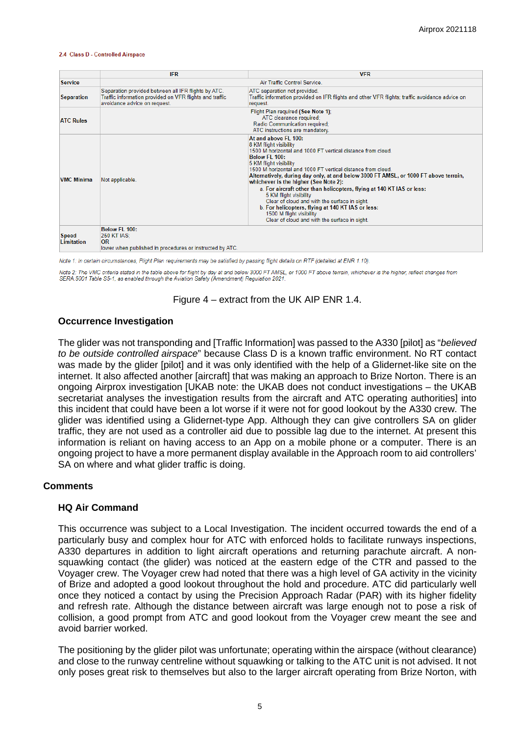#### 2.4 Class D - Controlled Airspace

|                                   | <b>IFR</b>                                                                                                                                                                                                                                                                                                                                                                                                                                                                                                                                                                                                                                                       | <b>VFR</b>                                                                                                                                 |  |  |  |
|-----------------------------------|------------------------------------------------------------------------------------------------------------------------------------------------------------------------------------------------------------------------------------------------------------------------------------------------------------------------------------------------------------------------------------------------------------------------------------------------------------------------------------------------------------------------------------------------------------------------------------------------------------------------------------------------------------------|--------------------------------------------------------------------------------------------------------------------------------------------|--|--|--|
| <b>Service</b>                    |                                                                                                                                                                                                                                                                                                                                                                                                                                                                                                                                                                                                                                                                  | Air Traffic Control Service                                                                                                                |  |  |  |
| <b>Separation</b>                 | Separation provided between all IFR flights by ATC.<br>Traffic information provided on VFR flights and traffic<br>avoidance advice on request.                                                                                                                                                                                                                                                                                                                                                                                                                                                                                                                   | ATC separation not provided.<br>Traffic information provided on IFR flights and other VFR flights; traffic avoidance advice on<br>request. |  |  |  |
| <b>ATC Rules</b>                  |                                                                                                                                                                                                                                                                                                                                                                                                                                                                                                                                                                                                                                                                  | Flight Plan required (See Note 1);<br>ATC clearance required;<br>Radio Communication required;<br>ATC instructions are mandatory.          |  |  |  |
| <b>VMC Minima</b>                 | At and above FI 100:<br>8 KM flight visibility<br>1500 M horizontal and 1000 FT vertical distance from cloud<br>Below FL 100:<br>5 KM flight visibility<br>1500 M horizontal and 1000 FT vertical distance from cloud.<br>Alternatively, during day only, at and below 3000 FT AMSL, or 1000 FT above terrain,<br>Not applicable.<br>whichever is the higher (See Note 2):<br>a. For aircraft other than helicopters, flying at 140 KT IAS or less:<br>5 KM flight visibility<br>Clear of cloud and with the surface in sight.<br>b. For helicopters, flying at 140 KT IAS or less:<br>1500 M flight visibility<br>Clear of cloud and with the surface in sight. |                                                                                                                                            |  |  |  |
| <b>Speed</b><br><b>Limitation</b> | Below El 100:<br><b>250 KT IAS:</b><br><b>OR</b><br>lower when published in procedures or instructed by ATC.                                                                                                                                                                                                                                                                                                                                                                                                                                                                                                                                                     |                                                                                                                                            |  |  |  |

Note 1: In certain circumstances. Flight Plan requirements may be satisfied by passing flight details on RTF (detailed at ENR 1.10).

Note 2: The VMC criteria stated in the table above for flight by day at and below 3000 FT AMSL, or 1000 FT above terrain, whichever is the higher, reflect changes from SERA.5001 Table S5-1, as enabled through the Aviation Safety (Amendment) Regulation 2021.

Figure 4 – extract from the UK AIP ENR 1.4.

### **Occurrence Investigation**

The glider was not transponding and [Traffic Information] was passed to the A330 [pilot] as "*believed to be outside controlled airspace*" because Class D is a known traffic environment. No RT contact was made by the glider [pilot] and it was only identified with the help of a Glidernet-like site on the internet. It also affected another [aircraft] that was making an approach to Brize Norton. There is an ongoing Airprox investigation [UKAB note: the UKAB does not conduct investigations – the UKAB secretariat analyses the investigation results from the aircraft and ATC operating authorities] into this incident that could have been a lot worse if it were not for good lookout by the A330 crew. The glider was identified using a Glidernet-type App. Although they can give controllers SA on glider traffic, they are not used as a controller aid due to possible lag due to the internet. At present this information is reliant on having access to an App on a mobile phone or a computer. There is an ongoing project to have a more permanent display available in the Approach room to aid controllers' SA on where and what glider traffic is doing.

#### **Comments**

#### **HQ Air Command**

This occurrence was subject to a Local Investigation. The incident occurred towards the end of a particularly busy and complex hour for ATC with enforced holds to facilitate runways inspections, A330 departures in addition to light aircraft operations and returning parachute aircraft. A nonsquawking contact (the glider) was noticed at the eastern edge of the CTR and passed to the Voyager crew. The Voyager crew had noted that there was a high level of GA activity in the vicinity of Brize and adopted a good lookout throughout the hold and procedure. ATC did particularly well once they noticed a contact by using the Precision Approach Radar (PAR) with its higher fidelity and refresh rate. Although the distance between aircraft was large enough not to pose a risk of collision, a good prompt from ATC and good lookout from the Voyager crew meant the see and avoid barrier worked.

The positioning by the glider pilot was unfortunate; operating within the airspace (without clearance) and close to the runway centreline without squawking or talking to the ATC unit is not advised. It not only poses great risk to themselves but also to the larger aircraft operating from Brize Norton, with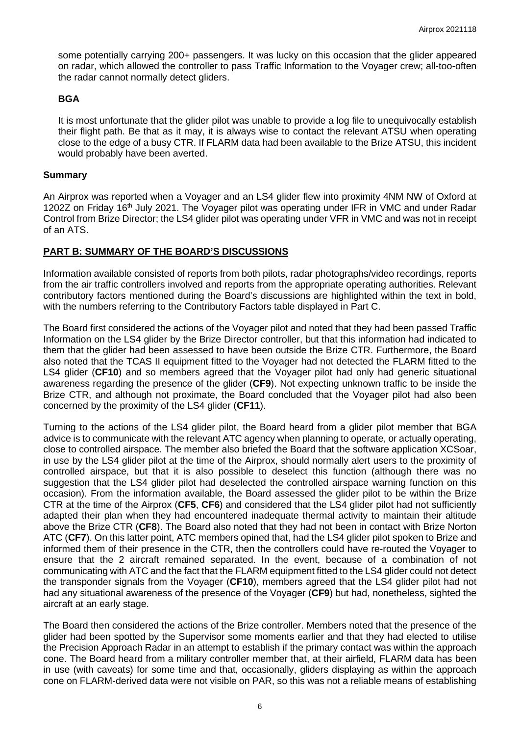some potentially carrying 200+ passengers. It was lucky on this occasion that the glider appeared on radar, which allowed the controller to pass Traffic Information to the Voyager crew; all-too-often the radar cannot normally detect gliders.

#### **BGA**

It is most unfortunate that the glider pilot was unable to provide a log file to unequivocally establish their flight path. Be that as it may, it is always wise to contact the relevant ATSU when operating close to the edge of a busy CTR. If FLARM data had been available to the Brize ATSU, this incident would probably have been averted.

#### **Summary**

An Airprox was reported when a Voyager and an LS4 glider flew into proximity 4NM NW of Oxford at 1202Z on Friday 16<sup>th</sup> July 2021. The Voyager pilot was operating under IFR in VMC and under Radar Control from Brize Director; the LS4 glider pilot was operating under VFR in VMC and was not in receipt of an ATS.

### **PART B: SUMMARY OF THE BOARD'S DISCUSSIONS**

Information available consisted of reports from both pilots, radar photographs/video recordings, reports from the air traffic controllers involved and reports from the appropriate operating authorities. Relevant contributory factors mentioned during the Board's discussions are highlighted within the text in bold, with the numbers referring to the Contributory Factors table displayed in Part C.

The Board first considered the actions of the Voyager pilot and noted that they had been passed Traffic Information on the LS4 glider by the Brize Director controller, but that this information had indicated to them that the glider had been assessed to have been outside the Brize CTR. Furthermore, the Board also noted that the TCAS II equipment fitted to the Voyager had not detected the FLARM fitted to the LS4 glider (**CF10**) and so members agreed that the Voyager pilot had only had generic situational awareness regarding the presence of the glider (**CF9**). Not expecting unknown traffic to be inside the Brize CTR, and although not proximate, the Board concluded that the Voyager pilot had also been concerned by the proximity of the LS4 glider (**CF11**).

Turning to the actions of the LS4 glider pilot, the Board heard from a glider pilot member that BGA advice is to communicate with the relevant ATC agency when planning to operate, or actually operating, close to controlled airspace. The member also briefed the Board that the software application XCSoar, in use by the LS4 glider pilot at the time of the Airprox, should normally alert users to the proximity of controlled airspace, but that it is also possible to deselect this function (although there was no suggestion that the LS4 glider pilot had deselected the controlled airspace warning function on this occasion). From the information available, the Board assessed the glider pilot to be within the Brize CTR at the time of the Airprox (**CF5**, **CF6**) and considered that the LS4 glider pilot had not sufficiently adapted their plan when they had encountered inadequate thermal activity to maintain their altitude above the Brize CTR (**CF8**). The Board also noted that they had not been in contact with Brize Norton ATC (**CF7**). On this latter point, ATC members opined that, had the LS4 glider pilot spoken to Brize and informed them of their presence in the CTR, then the controllers could have re-routed the Voyager to ensure that the 2 aircraft remained separated. In the event, because of a combination of not communicating with ATC and the fact that the FLARM equipment fitted to the LS4 glider could not detect the transponder signals from the Voyager (**CF10**), members agreed that the LS4 glider pilot had not had any situational awareness of the presence of the Voyager (**CF9**) but had, nonetheless, sighted the aircraft at an early stage.

The Board then considered the actions of the Brize controller. Members noted that the presence of the glider had been spotted by the Supervisor some moments earlier and that they had elected to utilise the Precision Approach Radar in an attempt to establish if the primary contact was within the approach cone. The Board heard from a military controller member that, at their airfield, FLARM data has been in use (with caveats) for some time and that, occasionally, gliders displaying as within the approach cone on FLARM-derived data were not visible on PAR, so this was not a reliable means of establishing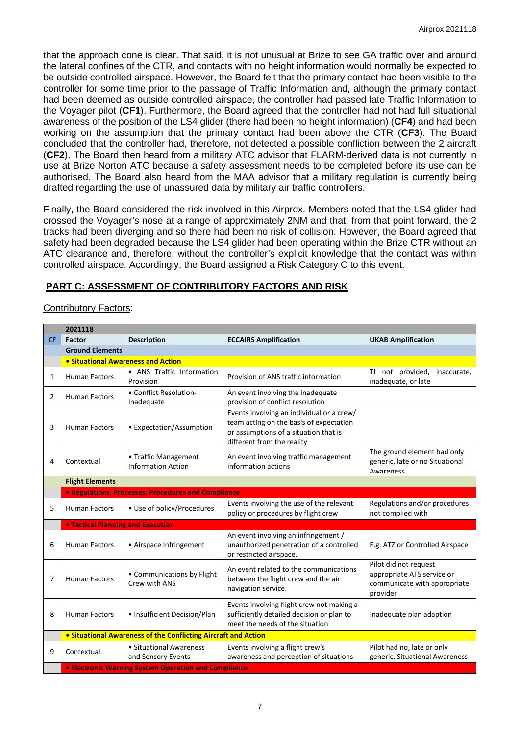that the approach cone is clear. That said, it is not unusual at Brize to see GA traffic over and around the lateral confines of the CTR, and contacts with no height information would normally be expected to be outside controlled airspace. However, the Board felt that the primary contact had been visible to the controller for some time prior to the passage of Traffic Information and, although the primary contact had been deemed as outside controlled airspace, the controller had passed late Traffic Information to the Voyager pilot (**CF1**). Furthermore, the Board agreed that the controller had not had full situational awareness of the position of the LS4 glider (there had been no height information) (**CF4**) and had been working on the assumption that the primary contact had been above the CTR (**CF3**). The Board concluded that the controller had, therefore, not detected a possible confliction between the 2 aircraft (**CF2**). The Board then heard from a military ATC advisor that FLARM-derived data is not currently in use at Brize Norton ATC because a safety assessment needs to be completed before its use can be authorised. The Board also heard from the MAA advisor that a military regulation is currently being drafted regarding the use of unassured data by military air traffic controllers.

Finally, the Board considered the risk involved in this Airprox. Members noted that the LS4 glider had crossed the Voyager's nose at a range of approximately 2NM and that, from that point forward, the 2 tracks had been diverging and so there had been no risk of collision. However, the Board agreed that safety had been degraded because the LS4 glider had been operating within the Brize CTR without an ATC clearance and, therefore, without the controller's explicit knowledge that the contact was within controlled airspace. Accordingly, the Board assigned a Risk Category C to this event.

# **PART C: ASSESSMENT OF CONTRIBUTORY FACTORS AND RISK**

### Contributory Factors:

|           | 2021118                                                        |                                                     |                                                                                                                                                             |                                                                                                 |  |  |  |
|-----------|----------------------------------------------------------------|-----------------------------------------------------|-------------------------------------------------------------------------------------------------------------------------------------------------------------|-------------------------------------------------------------------------------------------------|--|--|--|
| <b>CF</b> | Factor                                                         | <b>Description</b>                                  | <b>ECCAIRS Amplification</b>                                                                                                                                | <b>UKAB Amplification</b>                                                                       |  |  |  |
|           | <b>Ground Elements</b>                                         |                                                     |                                                                                                                                                             |                                                                                                 |  |  |  |
|           |                                                                | • Situational Awareness and Action                  |                                                                                                                                                             |                                                                                                 |  |  |  |
| 1         | <b>Human Factors</b>                                           | • ANS Traffic Information<br>Provision              | Provision of ANS traffic information                                                                                                                        | TI not provided,<br>inaccurate,<br>inadequate, or late                                          |  |  |  |
| 2         | <b>Human Factors</b>                                           | • Conflict Resolution-<br>Inadequate                | An event involving the inadequate<br>provision of conflict resolution                                                                                       |                                                                                                 |  |  |  |
| 3         | <b>Human Factors</b>                                           | • Expectation/Assumption                            | Events involving an individual or a crew/<br>team acting on the basis of expectation<br>or assumptions of a situation that is<br>different from the reality |                                                                                                 |  |  |  |
| 4         | Contextual                                                     | • Traffic Management<br><b>Information Action</b>   | An event involving traffic management<br>information actions                                                                                                | The ground element had only<br>generic, late or no Situational<br>Awareness                     |  |  |  |
|           | <b>Flight Elements</b>                                         |                                                     |                                                                                                                                                             |                                                                                                 |  |  |  |
|           |                                                                | • Regulations, Processes, Procedures and Compliance |                                                                                                                                                             |                                                                                                 |  |  |  |
| 5         | <b>Human Factors</b>                                           | • Use of policy/Procedures                          | Events involving the use of the relevant<br>policy or procedures by flight crew                                                                             | Regulations and/or procedures<br>not complied with                                              |  |  |  |
|           | <b>. Tactical Planning and Execution</b>                       |                                                     |                                                                                                                                                             |                                                                                                 |  |  |  |
| 6         | <b>Human Factors</b>                                           | • Airspace Infringement                             | An event involving an infringement /<br>unauthorized penetration of a controlled<br>or restricted airspace.                                                 | E.g. ATZ or Controlled Airspace                                                                 |  |  |  |
| 7         | <b>Human Factors</b>                                           | • Communications by Flight<br>Crew with ANS         | An event related to the communications<br>between the flight crew and the air<br>navigation service.                                                        | Pilot did not request<br>appropriate ATS service or<br>communicate with appropriate<br>provider |  |  |  |
| 8         | <b>Human Factors</b>                                           | • Insufficient Decision/Plan                        | Events involving flight crew not making a<br>sufficiently detailed decision or plan to<br>meet the needs of the situation                                   | Inadequate plan adaption                                                                        |  |  |  |
|           | • Situational Awareness of the Conflicting Aircraft and Action |                                                     |                                                                                                                                                             |                                                                                                 |  |  |  |
| 9         | Contextual                                                     | • Situational Awareness<br>and Sensory Events       | Events involving a flight crew's<br>awareness and perception of situations                                                                                  | Pilot had no, late or only<br>generic, Situational Awareness                                    |  |  |  |
|           | <b>• Electronic Warning System Operation and Compliance</b>    |                                                     |                                                                                                                                                             |                                                                                                 |  |  |  |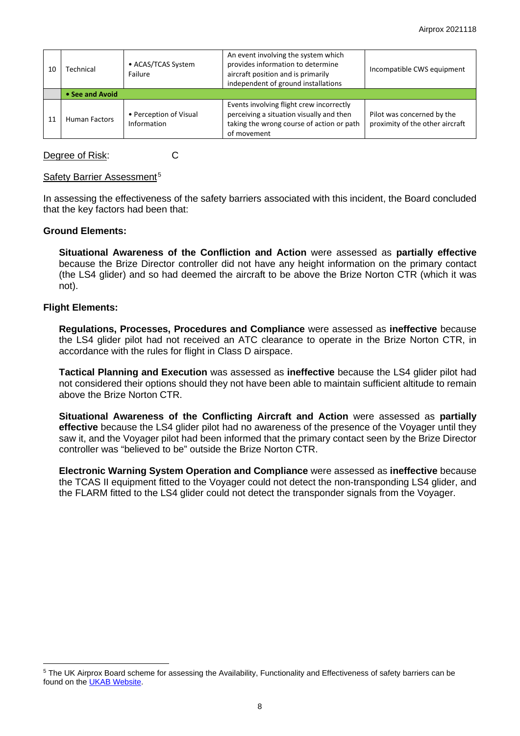| 10 | Technical            | • ACAS/TCAS System<br>Failure         | An event involving the system which<br>provides information to determine<br>aircraft position and is primarily<br>independent of ground installations | Incompatible CWS equipment                                    |
|----|----------------------|---------------------------------------|-------------------------------------------------------------------------------------------------------------------------------------------------------|---------------------------------------------------------------|
|    | • See and Avoid      |                                       |                                                                                                                                                       |                                                               |
| 11 | <b>Human Factors</b> | • Perception of Visual<br>Information | Events involving flight crew incorrectly<br>perceiving a situation visually and then<br>taking the wrong course of action or path<br>of movement      | Pilot was concerned by the<br>proximity of the other aircraft |

Degree of Risk: C

### Safety Barrier Assessment<sup>[5](#page-7-0)</sup>

In assessing the effectiveness of the safety barriers associated with this incident, the Board concluded that the key factors had been that:

### **Ground Elements:**

**Situational Awareness of the Confliction and Action** were assessed as **partially effective** because the Brize Director controller did not have any height information on the primary contact (the LS4 glider) and so had deemed the aircraft to be above the Brize Norton CTR (which it was not).

### **Flight Elements:**

**Regulations, Processes, Procedures and Compliance** were assessed as **ineffective** because the LS4 glider pilot had not received an ATC clearance to operate in the Brize Norton CTR, in accordance with the rules for flight in Class D airspace.

**Tactical Planning and Execution** was assessed as **ineffective** because the LS4 glider pilot had not considered their options should they not have been able to maintain sufficient altitude to remain above the Brize Norton CTR.

**Situational Awareness of the Conflicting Aircraft and Action** were assessed as **partially effective** because the LS4 glider pilot had no awareness of the presence of the Voyager until they saw it, and the Voyager pilot had been informed that the primary contact seen by the Brize Director controller was "believed to be" outside the Brize Norton CTR.

**Electronic Warning System Operation and Compliance** were assessed as **ineffective** because the TCAS II equipment fitted to the Voyager could not detect the non-transponding LS4 glider, and the FLARM fitted to the LS4 glider could not detect the transponder signals from the Voyager.

<span id="page-7-0"></span><sup>&</sup>lt;sup>5</sup> The UK Airprox Board scheme for assessing the Availability, Functionality and Effectiveness of safety barriers can be found on the [UKAB Website.](http://www.airproxboard.org.uk/Learn-more/Airprox-Barrier-Assessment/)